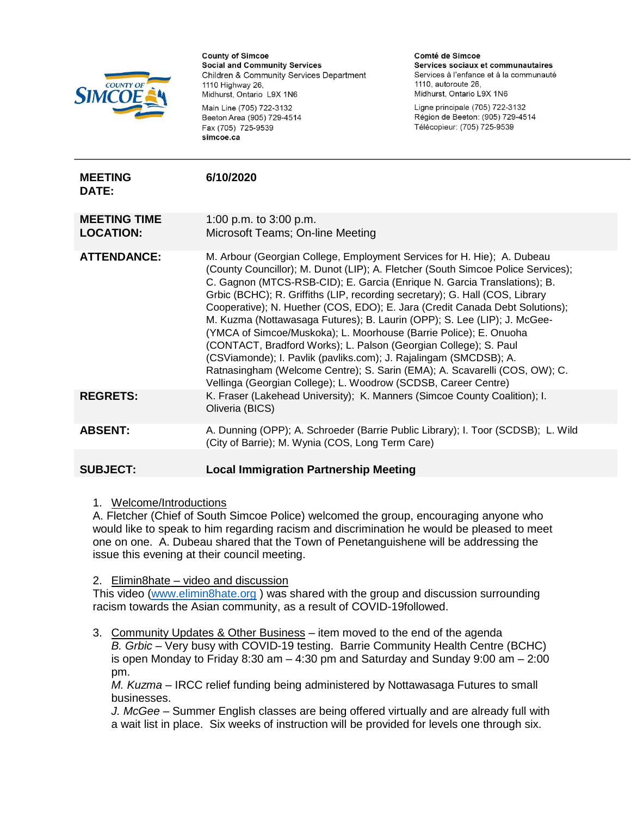

Main Line (705) 722-3132 Beeton Area (905) 729-4514 Fax (705) 725-9539 simcoe.ca

Comté de Simcoe Services sociaux et communautaires Services à l'enfance et à la communauté 1110, autoroute 26. Midhurst, Ontario L9X 1N6

Ligne principale (705) 722-3132 Région de Beeton: (905) 729-4514 Télécopieur: (705) 725-9539

| <b>MEETING</b><br><b>DATE:</b>          | 6/10/2020                                                                                                                                                                                                                                                                                                                                                                                                                                                                                                                                                                                                                                                                                                                                                                                                                                         |
|-----------------------------------------|---------------------------------------------------------------------------------------------------------------------------------------------------------------------------------------------------------------------------------------------------------------------------------------------------------------------------------------------------------------------------------------------------------------------------------------------------------------------------------------------------------------------------------------------------------------------------------------------------------------------------------------------------------------------------------------------------------------------------------------------------------------------------------------------------------------------------------------------------|
| <b>MEETING TIME</b><br><b>LOCATION:</b> | 1:00 p.m. to $3:00$ p.m.<br>Microsoft Teams; On-line Meeting                                                                                                                                                                                                                                                                                                                                                                                                                                                                                                                                                                                                                                                                                                                                                                                      |
| <b>ATTENDANCE:</b>                      | M. Arbour (Georgian College, Employment Services for H. Hie); A. Dubeau<br>(County Councillor); M. Dunot (LIP); A. Fletcher (South Simcoe Police Services);<br>C. Gagnon (MTCS-RSB-CID); E. Garcia (Enrique N. Garcia Translations); B.<br>Grbic (BCHC); R. Griffiths (LIP, recording secretary); G. Hall (COS, Library<br>Cooperative); N. Huether (COS, EDO); E. Jara (Credit Canada Debt Solutions);<br>M. Kuzma (Nottawasaga Futures); B. Laurin (OPP); S. Lee (LIP); J. McGee-<br>(YMCA of Simcoe/Muskoka); L. Moorhouse (Barrie Police); E. Onuoha<br>(CONTACT, Bradford Works); L. Palson (Georgian College); S. Paul<br>(CSViamonde); I. Pavlik (pavliks.com); J. Rajalingam (SMCDSB); A.<br>Ratnasingham (Welcome Centre); S. Sarin (EMA); A. Scavarelli (COS, OW); C.<br>Vellinga (Georgian College); L. Woodrow (SCDSB, Career Centre) |
| <b>REGRETS:</b>                         | K. Fraser (Lakehead University); K. Manners (Simcoe County Coalition); I.<br>Oliveria (BICS)                                                                                                                                                                                                                                                                                                                                                                                                                                                                                                                                                                                                                                                                                                                                                      |
| <b>ABSENT:</b>                          | A. Dunning (OPP); A. Schroeder (Barrie Public Library); I. Toor (SCDSB); L. Wild<br>(City of Barrie); M. Wynia (COS, Long Term Care)                                                                                                                                                                                                                                                                                                                                                                                                                                                                                                                                                                                                                                                                                                              |
|                                         |                                                                                                                                                                                                                                                                                                                                                                                                                                                                                                                                                                                                                                                                                                                                                                                                                                                   |

#### **SUBJECT: Local Immigration Partnership Meeting**

### 1. Welcome/Introductions

A. Fletcher (Chief of South Simcoe Police) welcomed the group, encouraging anyone who would like to speak to him regarding racism and discrimination he would be pleased to meet one on one. A. Dubeau shared that the Town of Penetanguishene will be addressing the issue this evening at their council meeting.

### 2. Elimin8hate – video and discussion

This video [\(www.elimin8hate.org](http://www.elimin8hate.org/)) was shared with the group and discussion surrounding racism towards the Asian community, as a result of COVID-19followed.

3. Community Updates & Other Business – item moved to the end of the agenda *B. Grbic* – Very busy with COVID-19 testing. Barrie Community Health Centre (BCHC) is open Monday to Friday 8:30 am – 4:30 pm and Saturday and Sunday 9:00 am – 2:00 pm.

*M. Kuzma* – IRCC relief funding being administered by Nottawasaga Futures to small businesses.

*J. McGee* – Summer English classes are being offered virtually and are already full with a wait list in place. Six weeks of instruction will be provided for levels one through six.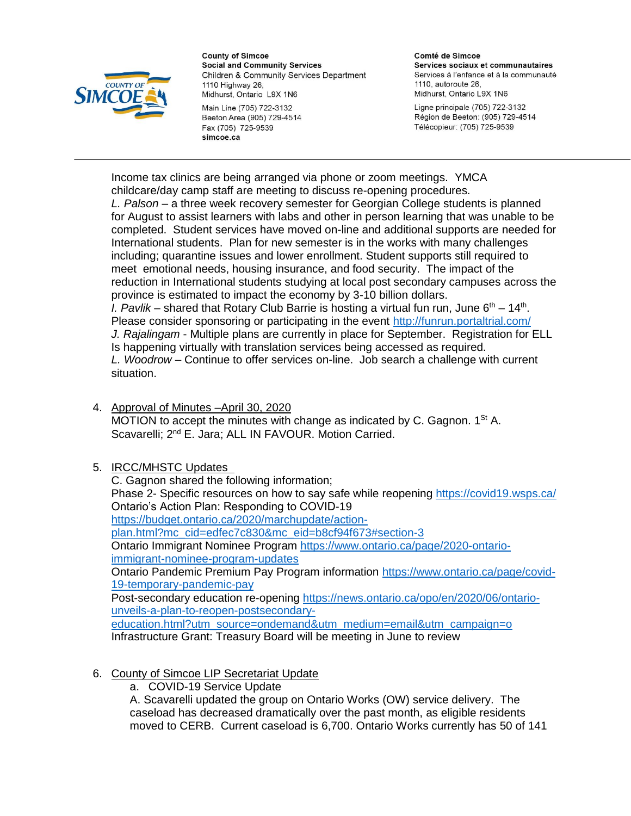

Main Line (705) 722-3132 Beeton Area (905) 729-4514 Fax (705) 725-9539 simcoe.ca

Comté de Simcoe Services sociaux et communautaires Services à l'enfance et à la communauté 1110, autoroute 26. Midhurst, Ontario L9X 1N6

Ligne principale (705) 722-3132 Région de Beeton: (905) 729-4514 Télécopieur: (705) 725-9539

Income tax clinics are being arranged via phone or zoom meetings. YMCA childcare/day camp staff are meeting to discuss re-opening procedures. *L. Palson* – a three week recovery semester for Georgian College students is planned for August to assist learners with labs and other in person learning that was unable to be completed. Student services have moved on-line and additional supports are needed for International students. Plan for new semester is in the works with many challenges including; quarantine issues and lower enrollment. Student supports still required to meet emotional needs, housing insurance, and food security. The impact of the reduction in International students studying at local post secondary campuses across the province is estimated to impact the economy by 3-10 billion dollars. I. Pavlik – shared that Rotary Club Barrie is hosting a virtual fun run, June 6<sup>th</sup> – 14<sup>th</sup>. Please consider sponsoring or participating in the event<http://funrun.portaltrial.com/> *J. Rajalingam* - Multiple plans are currently in place for September. Registration for ELL Is happening virtually with translation services being accessed as required. *L. Woodrow* – Continue to offer services on-line. Job search a challenge with current situation.

4. Approval of Minutes –April 30, 2020 MOTION to accept the minutes with change as indicated by C. Gagnon.  $1<sup>St</sup> A$ .

Scavarelli; 2<sup>nd</sup> E. Jara; ALL IN FAVOUR. Motion Carried.

## 5. IRCC/MHSTC Updates

C. Gagnon shared the following information; Phase 2- Specific resources on how to say safe while reopening<https://covid19.wsps.ca/> Ontario's Action Plan: Responding to COVID-19 [https://budget.ontario.ca/2020/marchupdate/action](https://budget.ontario.ca/2020/marchupdate/action-plan.html?mc_cid=edfec7c830&mc_eid=b8cf94f673#section-3)[plan.html?mc\\_cid=edfec7c830&mc\\_eid=b8cf94f673#section-3](https://budget.ontario.ca/2020/marchupdate/action-plan.html?mc_cid=edfec7c830&mc_eid=b8cf94f673#section-3) Ontario Immigrant Nominee Program [https://www.ontario.ca/page/2020-ontario](https://www.ontario.ca/page/2020-ontario-immigrant-nominee-program-updates)[immigrant-nominee-program-updates](https://www.ontario.ca/page/2020-ontario-immigrant-nominee-program-updates) Ontario Pandemic Premium Pay Program information [https://www.ontario.ca/page/covid-](https://www.ontario.ca/page/covid-19-temporary-pandemic-pay)[19-temporary-pandemic-pay](https://www.ontario.ca/page/covid-19-temporary-pandemic-pay) Post-secondary education re-opening [https://news.ontario.ca/opo/en/2020/06/ontario](https://news.ontario.ca/opo/en/2020/06/ontario-unveils-a-plan-to-reopen-postsecondary-education.html?utm_source=ondemand&utm_medium=email&utm_campaign=o)[unveils-a-plan-to-reopen-postsecondary](https://news.ontario.ca/opo/en/2020/06/ontario-unveils-a-plan-to-reopen-postsecondary-education.html?utm_source=ondemand&utm_medium=email&utm_campaign=o)[education.html?utm\\_source=ondemand&utm\\_medium=email&utm\\_campaign=o](https://news.ontario.ca/opo/en/2020/06/ontario-unveils-a-plan-to-reopen-postsecondary-education.html?utm_source=ondemand&utm_medium=email&utm_campaign=o) Infrastructure Grant: Treasury Board will be meeting in June to review

- 6. County of Simcoe LIP Secretariat Update
	- a. COVID-19 Service Update

A. Scavarelli updated the group on Ontario Works (OW) service delivery. The caseload has decreased dramatically over the past month, as eligible residents moved to CERB. Current caseload is 6,700. Ontario Works currently has 50 of 141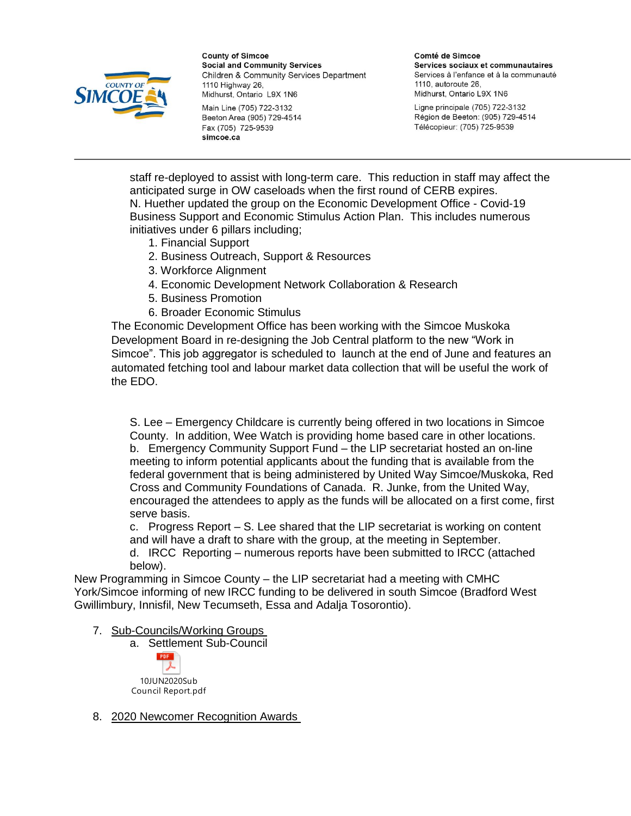

Main Line (705) 722-3132 Beeton Area (905) 729-4514 Fax (705) 725-9539 simcoe.ca

Comté de Simcoe Services sociaux et communautaires Services à l'enfance et à la communauté 1110, autoroute 26. Midhurst, Ontario L9X 1N6

Ligne principale (705) 722-3132 Région de Beeton: (905) 729-4514 Télécopieur: (705) 725-9539

staff re-deployed to assist with long-term care. This reduction in staff may affect the anticipated surge in OW caseloads when the first round of CERB expires. N. Huether updated the group on the Economic Development Office - Covid-19 Business Support and Economic Stimulus Action Plan. This includes numerous initiatives under 6 pillars including;

- 1. Financial Support
- 2. Business Outreach, Support & Resources
- 3. Workforce Alignment
- 4. Economic Development Network Collaboration & Research
- 5. Business Promotion
- 6. Broader Economic Stimulus

The Economic Development Office has been working with the Simcoe Muskoka Development Board in re-designing the Job Central platform to the new "Work in Simcoe". This job aggregator is scheduled to launch at the end of June and features an automated fetching tool and labour market data collection that will be useful the work of the EDO.

S. Lee – Emergency Childcare is currently being offered in two locations in Simcoe County. In addition, Wee Watch is providing home based care in other locations. b. Emergency Community Support Fund – the LIP secretariat hosted an on-line meeting to inform potential applicants about the funding that is available from the federal government that is being administered by United Way Simcoe/Muskoka, Red Cross and Community Foundations of Canada. R. Junke, from the United Way, encouraged the attendees to apply as the funds will be allocated on a first come, first serve basis.

c. Progress Report – S. Lee shared that the LIP secretariat is working on content and will have a draft to share with the group, at the meeting in September.

d. IRCC Reporting – numerous reports have been submitted to IRCC (attached below).

New Programming in Simcoe County – the LIP secretariat had a meeting with CMHC York/Simcoe informing of new IRCC funding to be delivered in south Simcoe (Bradford West Gwillimbury, Innisfil, New Tecumseth, Essa and Adalja Tosorontio).

- 7. Sub-Councils/Working Groups
	- a. Settlement Sub-Council



8. 2020 Newcomer Recognition Awards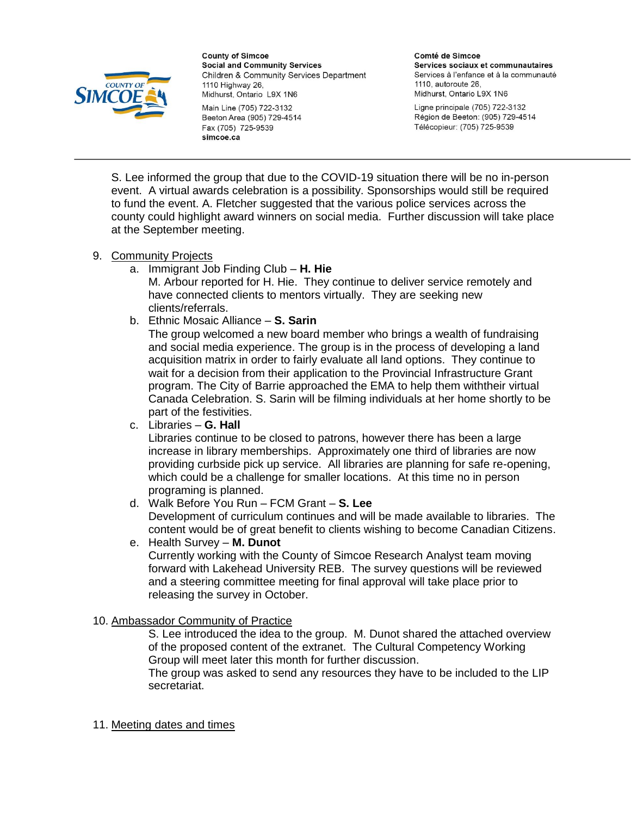

Main Line (705) 722-3132 Beeton Area (905) 729-4514 Fax (705) 725-9539 simcoe.ca

Comté de Simcoe Services sociaux et communautaires Services à l'enfance et à la communauté 1110, autoroute 26. Midhurst, Ontario L9X 1N6

Ligne principale (705) 722-3132 Région de Beeton: (905) 729-4514 Télécopieur: (705) 725-9539

S. Lee informed the group that due to the COVID-19 situation there will be no in-person event. A virtual awards celebration is a possibility. Sponsorships would still be required to fund the event. A. Fletcher suggested that the various police services across the county could highlight award winners on social media. Further discussion will take place at the September meeting.

- 9. Community Projects
	- a. Immigrant Job Finding Club **H. Hie**

M. Arbour reported for H. Hie. They continue to deliver service remotely and have connected clients to mentors virtually. They are seeking new clients/referrals.

b. Ethnic Mosaic Alliance – **S. Sarin**

The group welcomed a new board member who brings a wealth of fundraising and social media experience. The group is in the process of developing a land acquisition matrix in order to fairly evaluate all land options. They continue to wait for a decision from their application to the Provincial Infrastructure Grant program. The City of Barrie approached the EMA to help them withtheir virtual Canada Celebration. S. Sarin will be filming individuals at her home shortly to be part of the festivities.

c. Libraries – **G. Hall**

Libraries continue to be closed to patrons, however there has been a large increase in library memberships. Approximately one third of libraries are now providing curbside pick up service. All libraries are planning for safe re-opening, which could be a challenge for smaller locations. At this time no in person programing is planned.

## d. Walk Before You Run – FCM Grant – **S. Lee**

Development of curriculum continues and will be made available to libraries. The content would be of great benefit to clients wishing to become Canadian Citizens.

e. Health Survey – **M. Dunot**

Currently working with the County of Simcoe Research Analyst team moving forward with Lakehead University REB. The survey questions will be reviewed and a steering committee meeting for final approval will take place prior to releasing the survey in October.

10. Ambassador Community of Practice

S. Lee introduced the idea to the group. M. Dunot shared the attached overview of the proposed content of the extranet. The Cultural Competency Working Group will meet later this month for further discussion.

The group was asked to send any resources they have to be included to the LIP secretariat.

11. Meeting dates and times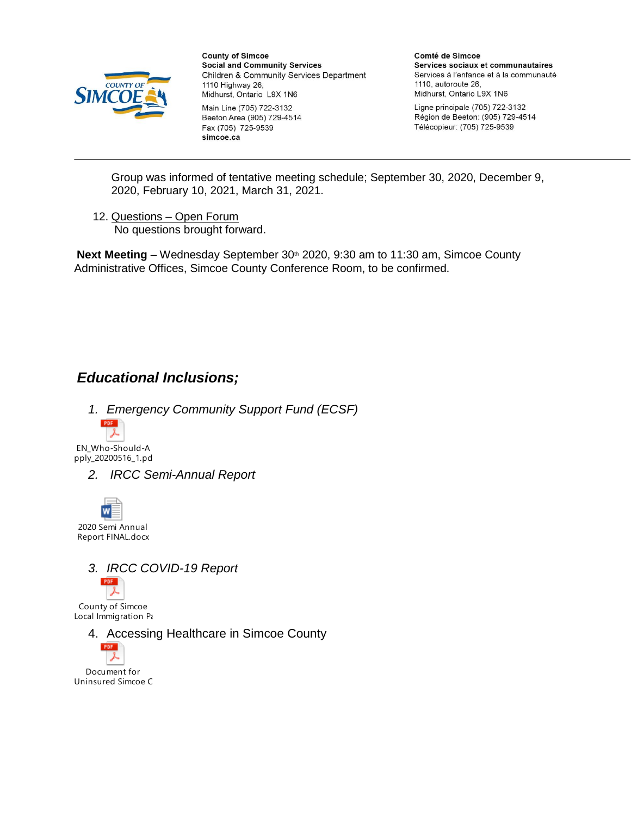

**County of Simcoe Social and Community Services** Children & Community Services Department 1110 Highway 26, Midhurst, Ontario L9X 1N6 Main Line (705) 722-3132 Beeton Area (905) 729-4514 Fax (705) 725-9539 simcoe.ca

Comté de Simcoe Services sociaux et communautaires Services à l'enfance et à la communauté 1110, autoroute 26, Midhurst, Ontario L9X 1N6

Ligne principale (705) 722-3132 Région de Beeton: (905) 729-4514 Télécopieur: (705) 725-9539

Group was informed of tentative meeting schedule; September 30, 2020, December 9, 2020, February 10, 2021, March 31, 2021.

12. Questions – Open Forum No questions brought forward.

**Next Meeting** – Wednesday September 30<sup>th</sup> 2020, 9:30 am to 11:30 am, Simcoe County Administrative Offices, Simcoe County Conference Room, to be confirmed.

# *Educational Inclusions;*

*1. Emergency Community Support Fund (ECSF)*



EN\_Who-Should-A pply\_20200516\_1.pd

*2. IRCC Semi-Annual Report*





⋏ County of Simcoe Local Immigration Pa

4. Accessing Healthcare in Simcoe County